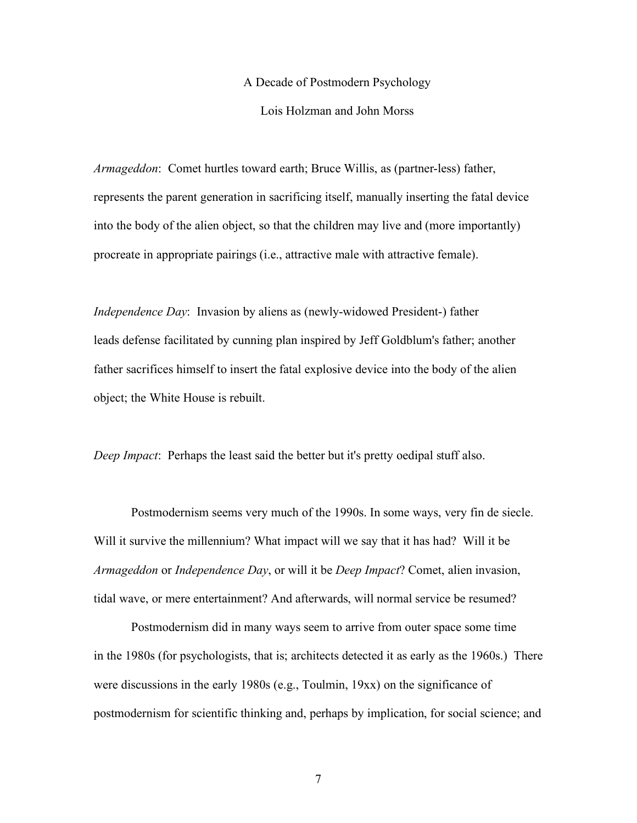## A Decade of Postmodern Psychology

Lois Holzman and John Morss

*Armageddon*: Comet hurtles toward earth; Bruce Willis, as (partner-less) father, represents the parent generation in sacrificing itself, manually inserting the fatal device into the body of the alien object, so that the children may live and (more importantly) procreate in appropriate pairings (i.e., attractive male with attractive female).

*Independence Day*: Invasion by aliens as (newly-widowed President-) father leads defense facilitated by cunning plan inspired by Jeff Goldblum's father; another father sacrifices himself to insert the fatal explosive device into the body of the alien object; the White House is rebuilt.

*Deep Impact*: Perhaps the least said the better but it's pretty oedipal stuff also.

Postmodernism seems very much of the 1990s. In some ways, very fin de siecle. Will it survive the millennium? What impact will we say that it has had? Will it be *Armageddon* or *Independence Day*, or will it be *Deep Impact*? Comet, alien invasion, tidal wave, or mere entertainment? And afterwards, will normal service be resumed?

Postmodernism did in many ways seem to arrive from outer space some time in the 1980s (for psychologists, that is; architects detected it as early as the 1960s.) There were discussions in the early 1980s (e.g., Toulmin, 19xx) on the significance of postmodernism for scientific thinking and, perhaps by implication, for social science; and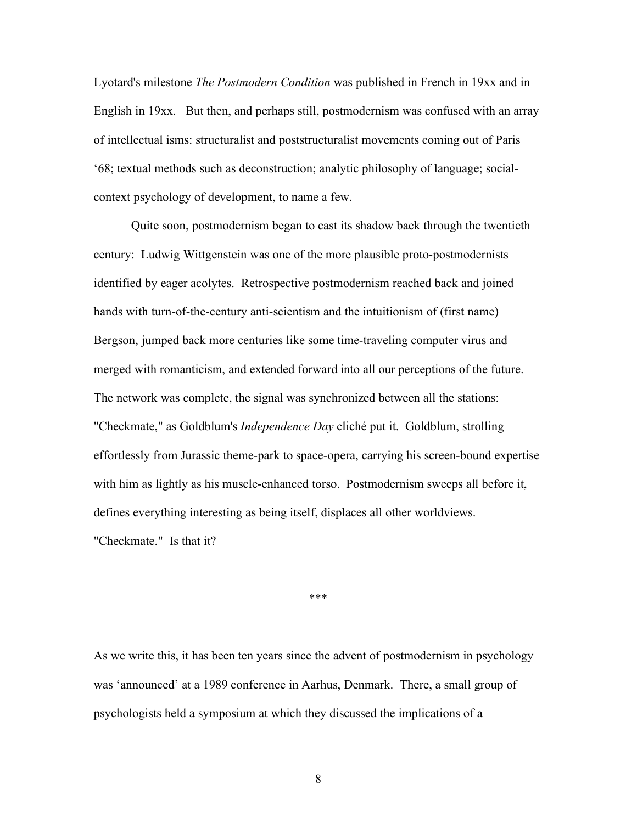Lyotard's milestone *The Postmodern Condition* was published in French in 19xx and in English in 19xx. But then, and perhaps still, postmodernism was confused with an array of intellectual isms: structuralist and poststructuralist movements coming out of Paris '68; textual methods such as deconstruction; analytic philosophy of language; socialcontext psychology of development, to name a few.

Quite soon, postmodernism began to cast its shadow back through the twentieth century: Ludwig Wittgenstein was one of the more plausible proto-postmodernists identified by eager acolytes. Retrospective postmodernism reached back and joined hands with turn-of-the-century anti-scientism and the intuitionism of (first name) Bergson, jumped back more centuries like some time-traveling computer virus and merged with romanticism, and extended forward into all our perceptions of the future. The network was complete, the signal was synchronized between all the stations: "Checkmate," as Goldblum's *Independence Day* cliché put it. Goldblum, strolling effortlessly from Jurassic theme-park to space-opera, carrying his screen-bound expertise with him as lightly as his muscle-enhanced torso. Postmodernism sweeps all before it, defines everything interesting as being itself, displaces all other worldviews. "Checkmate." Is that it?

\*\*\*

As we write this, it has been ten years since the advent of postmodernism in psychology was 'announced' at a 1989 conference in Aarhus, Denmark. There, a small group of psychologists held a symposium at which they discussed the implications of a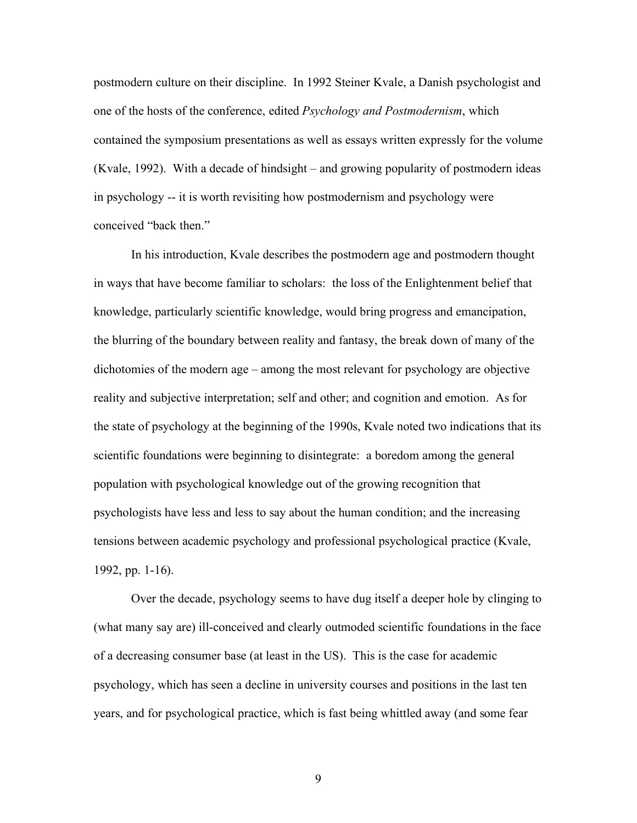postmodern culture on their discipline. In 1992 Steiner Kvale, a Danish psychologist and one of the hosts of the conference, edited *Psychology and Postmodernism*, which contained the symposium presentations as well as essays written expressly for the volume (Kvale, 1992). With a decade of hindsight – and growing popularity of postmodern ideas in psychology -- it is worth revisiting how postmodernism and psychology were conceived "back then."

In his introduction, Kvale describes the postmodern age and postmodern thought in ways that have become familiar to scholars: the loss of the Enlightenment belief that knowledge, particularly scientific knowledge, would bring progress and emancipation, the blurring of the boundary between reality and fantasy, the break down of many of the dichotomies of the modern age – among the most relevant for psychology are objective reality and subjective interpretation; self and other; and cognition and emotion. As for the state of psychology at the beginning of the 1990s, Kvale noted two indications that its scientific foundations were beginning to disintegrate: a boredom among the general population with psychological knowledge out of the growing recognition that psychologists have less and less to say about the human condition; and the increasing tensions between academic psychology and professional psychological practice (Kvale, 1992, pp. 1-16).

Over the decade, psychology seems to have dug itself a deeper hole by clinging to (what many say are) ill-conceived and clearly outmoded scientific foundations in the face of a decreasing consumer base (at least in the US). This is the case for academic psychology, which has seen a decline in university courses and positions in the last ten years, and for psychological practice, which is fast being whittled away (and some fear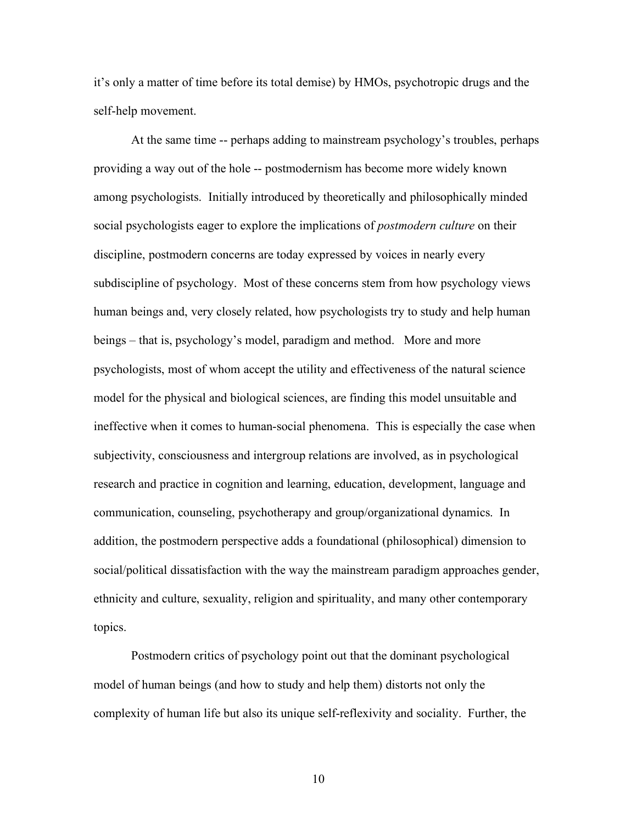it's only a matter of time before its total demise) by HMOs, psychotropic drugs and the self-help movement.

At the same time -- perhaps adding to mainstream psychology's troubles, perhaps providing a way out of the hole -- postmodernism has become more widely known among psychologists. Initially introduced by theoretically and philosophically minded social psychologists eager to explore the implications of *postmodern culture* on their discipline, postmodern concerns are today expressed by voices in nearly every subdiscipline of psychology. Most of these concerns stem from how psychology views human beings and, very closely related, how psychologists try to study and help human beings – that is, psychology's model, paradigm and method. More and more psychologists, most of whom accept the utility and effectiveness of the natural science model for the physical and biological sciences, are finding this model unsuitable and ineffective when it comes to human-social phenomena. This is especially the case when subjectivity, consciousness and intergroup relations are involved, as in psychological research and practice in cognition and learning, education, development, language and communication, counseling, psychotherapy and group/organizational dynamics. In addition, the postmodern perspective adds a foundational (philosophical) dimension to social/political dissatisfaction with the way the mainstream paradigm approaches gender, ethnicity and culture, sexuality, religion and spirituality, and many other contemporary topics.

Postmodern critics of psychology point out that the dominant psychological model of human beings (and how to study and help them) distorts not only the complexity of human life but also its unique self-reflexivity and sociality. Further, the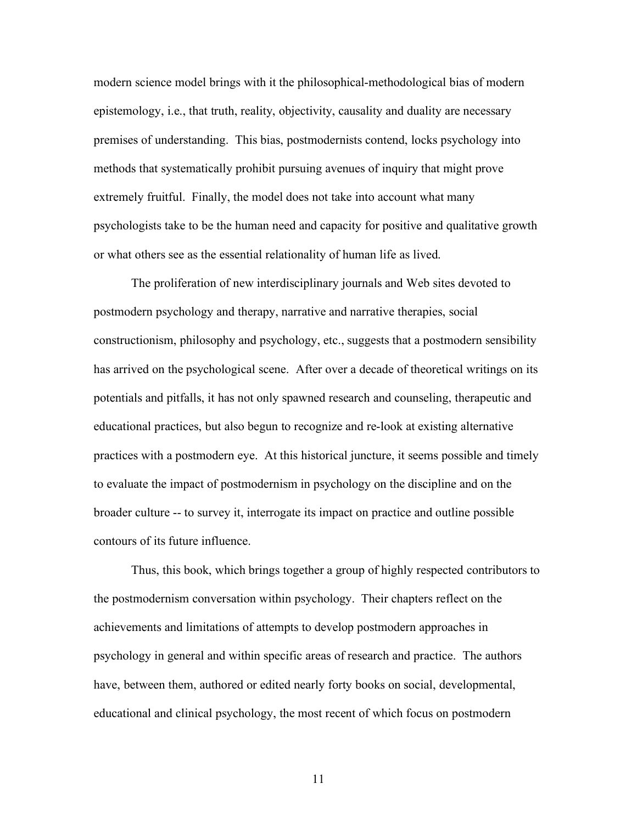modern science model brings with it the philosophical-methodological bias of modern epistemology, i.e., that truth, reality, objectivity, causality and duality are necessary premises of understanding. This bias, postmodernists contend, locks psychology into methods that systematically prohibit pursuing avenues of inquiry that might prove extremely fruitful. Finally, the model does not take into account what many psychologists take to be the human need and capacity for positive and qualitative growth or what others see as the essential relationality of human life as lived.

The proliferation of new interdisciplinary journals and Web sites devoted to postmodern psychology and therapy, narrative and narrative therapies, social constructionism, philosophy and psychology, etc., suggests that a postmodern sensibility has arrived on the psychological scene. After over a decade of theoretical writings on its potentials and pitfalls, it has not only spawned research and counseling, therapeutic and educational practices, but also begun to recognize and re-look at existing alternative practices with a postmodern eye. At this historical juncture, it seems possible and timely to evaluate the impact of postmodernism in psychology on the discipline and on the broader culture -- to survey it, interrogate its impact on practice and outline possible contours of its future influence.

Thus, this book, which brings together a group of highly respected contributors to the postmodernism conversation within psychology. Their chapters reflect on the achievements and limitations of attempts to develop postmodern approaches in psychology in general and within specific areas of research and practice. The authors have, between them, authored or edited nearly forty books on social, developmental, educational and clinical psychology, the most recent of which focus on postmodern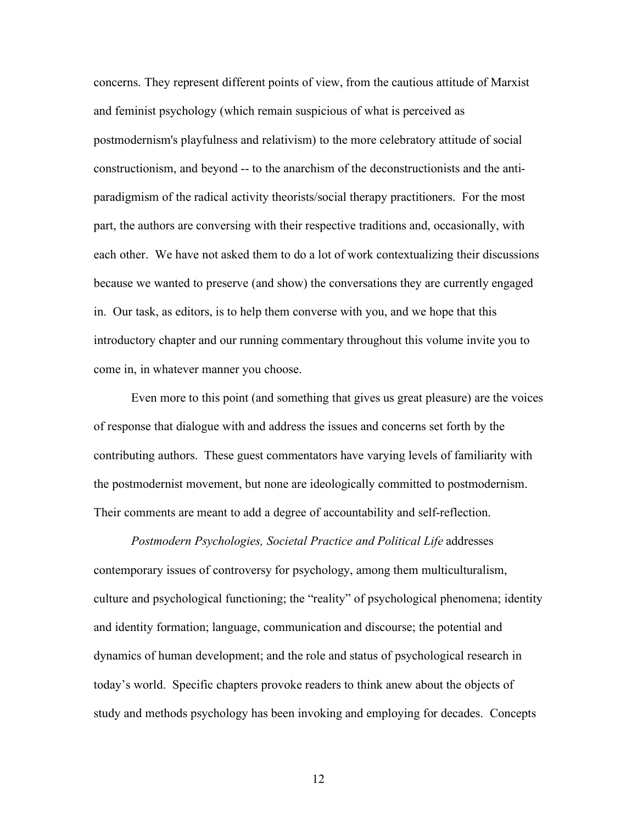concerns. They represent different points of view, from the cautious attitude of Marxist and feminist psychology (which remain suspicious of what is perceived as postmodernism's playfulness and relativism) to the more celebratory attitude of social constructionism, and beyond -- to the anarchism of the deconstructionists and the antiparadigmism of the radical activity theorists/social therapy practitioners. For the most part, the authors are conversing with their respective traditions and, occasionally, with each other. We have not asked them to do a lot of work contextualizing their discussions because we wanted to preserve (and show) the conversations they are currently engaged in. Our task, as editors, is to help them converse with you, and we hope that this introductory chapter and our running commentary throughout this volume invite you to come in, in whatever manner you choose.

Even more to this point (and something that gives us great pleasure) are the voices of response that dialogue with and address the issues and concerns set forth by the contributing authors. These guest commentators have varying levels of familiarity with the postmodernist movement, but none are ideologically committed to postmodernism. Their comments are meant to add a degree of accountability and self-reflection.

*Postmodern Psychologies, Societal Practice and Political Life* addresses contemporary issues of controversy for psychology, among them multiculturalism, culture and psychological functioning; the "reality" of psychological phenomena; identity and identity formation; language, communication and discourse; the potential and dynamics of human development; and the role and status of psychological research in today's world. Specific chapters provoke readers to think anew about the objects of study and methods psychology has been invoking and employing for decades. Concepts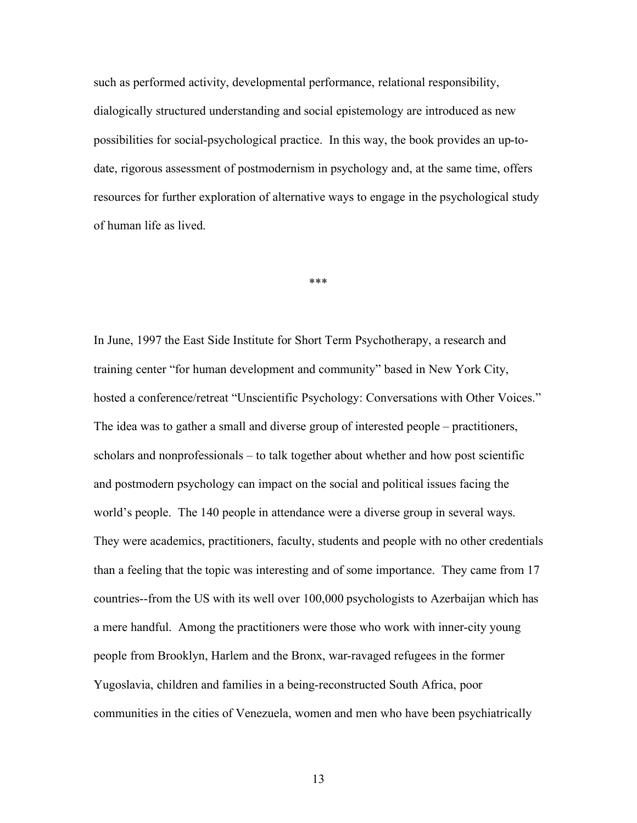such as performed activity, developmental performance, relational responsibility, dialogically structured understanding and social epistemology are introduced as new possibilities for social-psychological practice. In this way, the book provides an up-todate, rigorous assessment of postmodernism in psychology and, at the same time, offers resources for further exploration of alternative ways to engage in the psychological study of human life as lived.

\*\*\*

In June, 1997 the East Side Institute for Short Term Psychotherapy, a research and training center "for human development and community" based in New York City, hosted a conference/retreat "Unscientific Psychology: Conversations with Other Voices." The idea was to gather a small and diverse group of interested people – practitioners, scholars and nonprofessionals – to talk together about whether and how post scientific and postmodern psychology can impact on the social and political issues facing the world's people. The 140 people in attendance were a diverse group in several ways. They were academics, practitioners, faculty, students and people with no other credentials than a feeling that the topic was interesting and of some importance. They came from 17 countries--from the US with its well over 100,000 psychologists to Azerbaijan which has a mere handful. Among the practitioners were those who work with inner-city young people from Brooklyn, Harlem and the Bronx, war-ravaged refugees in the former Yugoslavia, children and families in a being-reconstructed South Africa, poor communities in the cities of Venezuela, women and men who have been psychiatrically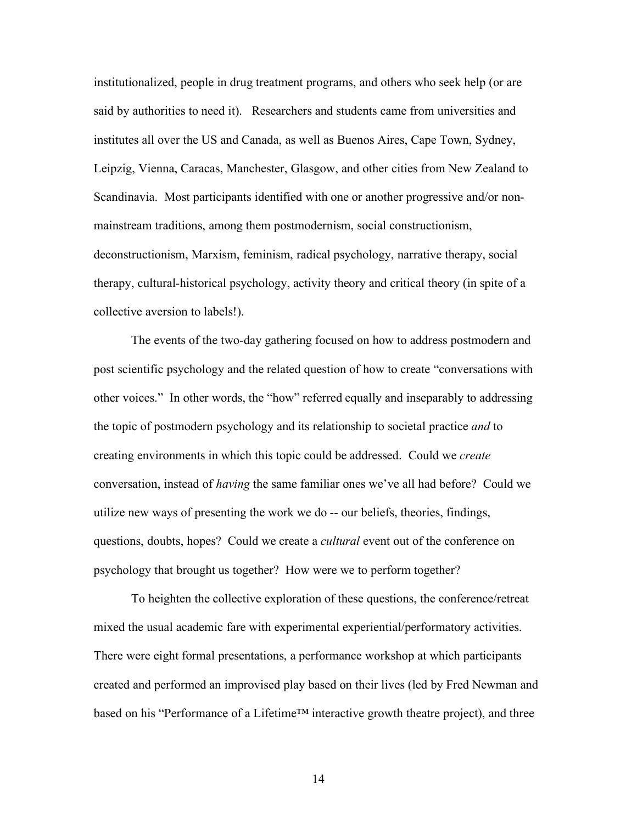institutionalized, people in drug treatment programs, and others who seek help (or are said by authorities to need it). Researchers and students came from universities and institutes all over the US and Canada, as well as Buenos Aires, Cape Town, Sydney, Leipzig, Vienna, Caracas, Manchester, Glasgow, and other cities from New Zealand to Scandinavia. Most participants identified with one or another progressive and/or nonmainstream traditions, among them postmodernism, social constructionism, deconstructionism, Marxism, feminism, radical psychology, narrative therapy, social therapy, cultural-historical psychology, activity theory and critical theory (in spite of a collective aversion to labels!).

The events of the two-day gathering focused on how to address postmodern and post scientific psychology and the related question of how to create "conversations with other voices." In other words, the "how" referred equally and inseparably to addressing the topic of postmodern psychology and its relationship to societal practice *and* to creating environments in which this topic could be addressed. Could we *create* conversation, instead of *having* the same familiar ones we've all had before? Could we utilize new ways of presenting the work we do -- our beliefs, theories, findings, questions, doubts, hopes? Could we create a *cultural* event out of the conference on psychology that brought us together? How were we to perform together?

To heighten the collective exploration of these questions, the conference/retreat mixed the usual academic fare with experimental experiential/performatory activities. There were eight formal presentations, a performance workshop at which participants created and performed an improvised play based on their lives (led by Fred Newman and based on his "Performance of a Lifetime™ interactive growth theatre project), and three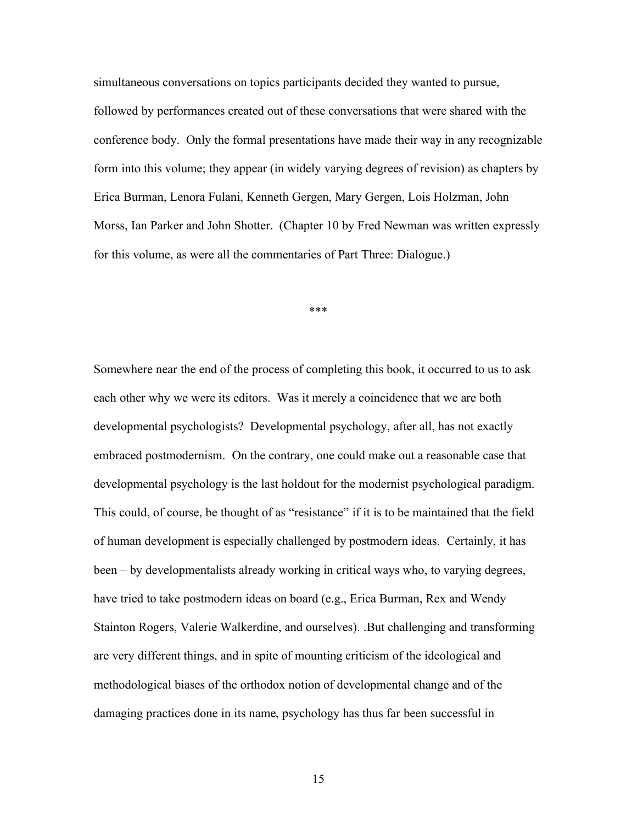simultaneous conversations on topics participants decided they wanted to pursue, followed by performances created out of these conversations that were shared with the conference body. Only the formal presentations have made their way in any recognizable form into this volume; they appear (in widely varying degrees of revision) as chapters by Erica Burman, Lenora Fulani, Kenneth Gergen, Mary Gergen, Lois Holzman, John Morss, Ian Parker and John Shotter. (Chapter 10 by Fred Newman was written expressly for this volume, as were all the commentaries of Part Three: Dialogue.)

\*\*\*

Somewhere near the end of the process of completing this book, it occurred to us to ask each other why we were its editors. Was it merely a coincidence that we are both developmental psychologists? Developmental psychology, after all, has not exactly embraced postmodernism. On the contrary, one could make out a reasonable case that developmental psychology is the last holdout for the modernist psychological paradigm. This could, of course, be thought of as "resistance" if it is to be maintained that the field of human development is especially challenged by postmodern ideas. Certainly, it has been – by developmentalists already working in critical ways who, to varying degrees, have tried to take postmodern ideas on board (e.g., Erica Burman, Rex and Wendy Stainton Rogers, Valerie Walkerdine, and ourselves). .But challenging and transforming are very different things, and in spite of mounting criticism of the ideological and methodological biases of the orthodox notion of developmental change and of the damaging practices done in its name, psychology has thus far been successful in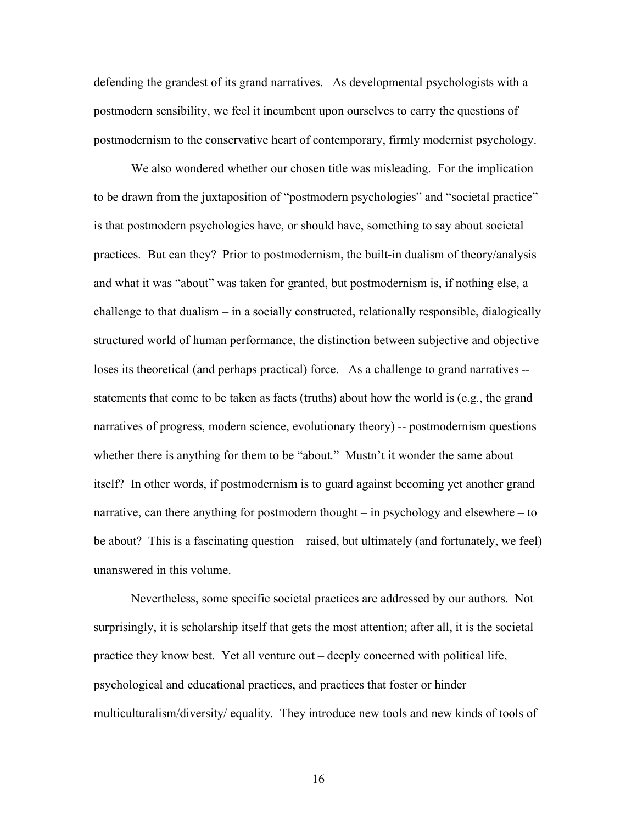defending the grandest of its grand narratives. As developmental psychologists with a postmodern sensibility, we feel it incumbent upon ourselves to carry the questions of postmodernism to the conservative heart of contemporary, firmly modernist psychology.

We also wondered whether our chosen title was misleading. For the implication to be drawn from the juxtaposition of "postmodern psychologies" and "societal practice" is that postmodern psychologies have, or should have, something to say about societal practices. But can they? Prior to postmodernism, the built-in dualism of theory/analysis and what it was "about" was taken for granted, but postmodernism is, if nothing else, a challenge to that dualism – in a socially constructed, relationally responsible, dialogically structured world of human performance, the distinction between subjective and objective loses its theoretical (and perhaps practical) force. As a challenge to grand narratives - statements that come to be taken as facts (truths) about how the world is (e.g., the grand narratives of progress, modern science, evolutionary theory) -- postmodernism questions whether there is anything for them to be "about." Mustn't it wonder the same about itself? In other words, if postmodernism is to guard against becoming yet another grand narrative, can there anything for postmodern thought – in psychology and elsewhere – to be about? This is a fascinating question – raised, but ultimately (and fortunately, we feel) unanswered in this volume.

Nevertheless, some specific societal practices are addressed by our authors. Not surprisingly, it is scholarship itself that gets the most attention; after all, it is the societal practice they know best. Yet all venture out – deeply concerned with political life, psychological and educational practices, and practices that foster or hinder multiculturalism/diversity/ equality. They introduce new tools and new kinds of tools of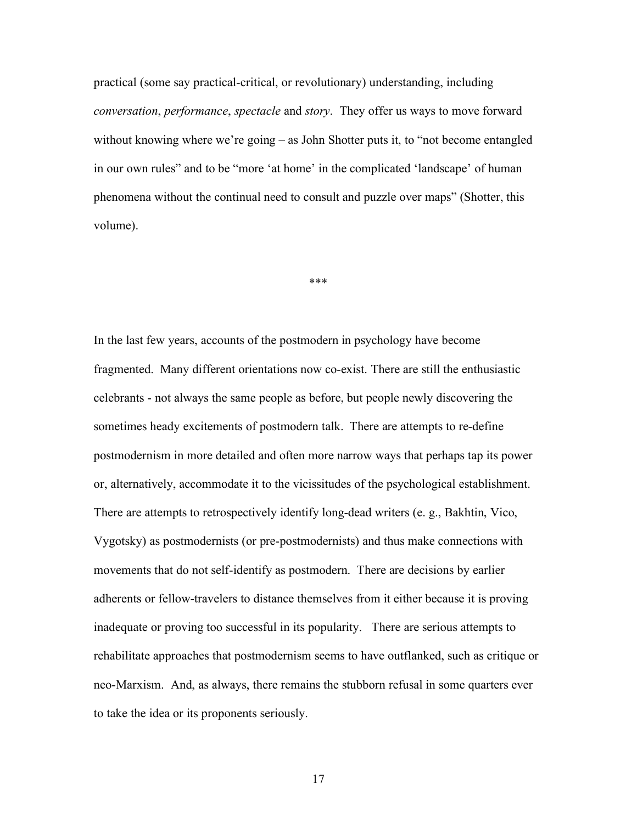practical (some say practical-critical, or revolutionary) understanding, including *conversation*, *performance*, *spectacle* and *story*. They offer us ways to move forward without knowing where we're going – as John Shotter puts it, to "not become entangled in our own rules" and to be "more 'at home' in the complicated 'landscape' of human phenomena without the continual need to consult and puzzle over maps" (Shotter, this volume).

\*\*\*

In the last few years, accounts of the postmodern in psychology have become fragmented. Many different orientations now co-exist. There are still the enthusiastic celebrants - not always the same people as before, but people newly discovering the sometimes heady excitements of postmodern talk. There are attempts to re-define postmodernism in more detailed and often more narrow ways that perhaps tap its power or, alternatively, accommodate it to the vicissitudes of the psychological establishment. There are attempts to retrospectively identify long-dead writers (e. g., Bakhtin, Vico, Vygotsky) as postmodernists (or pre-postmodernists) and thus make connections with movements that do not self-identify as postmodern. There are decisions by earlier adherents or fellow-travelers to distance themselves from it either because it is proving inadequate or proving too successful in its popularity. There are serious attempts to rehabilitate approaches that postmodernism seems to have outflanked, such as critique or neo-Marxism. And, as always, there remains the stubborn refusal in some quarters ever to take the idea or its proponents seriously.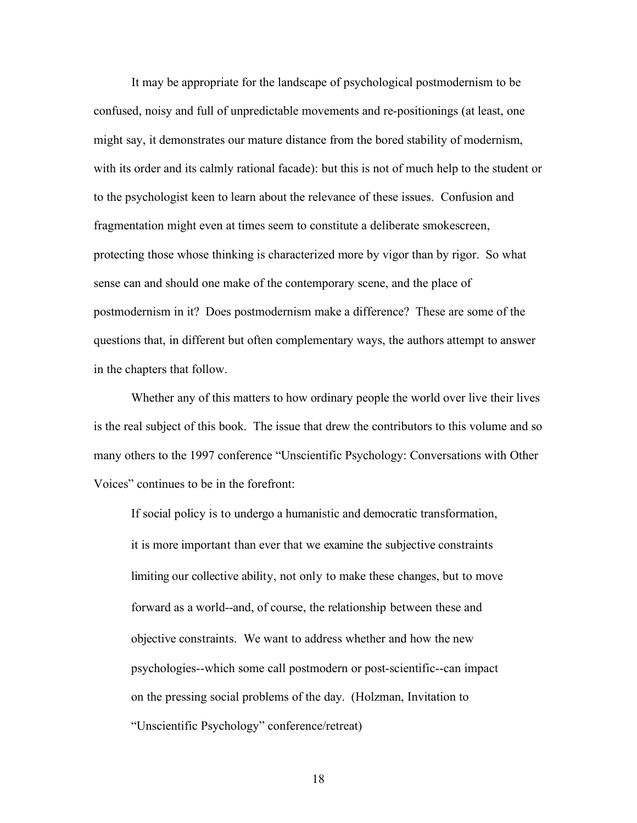It may be appropriate for the landscape of psychological postmodernism to be confused, noisy and full of unpredictable movements and re-positionings (at least, one might say, it demonstrates our mature distance from the bored stability of modernism, with its order and its calmly rational facade): but this is not of much help to the student or to the psychologist keen to learn about the relevance of these issues. Confusion and fragmentation might even at times seem to constitute a deliberate smokescreen, protecting those whose thinking is characterized more by vigor than by rigor. So what sense can and should one make of the contemporary scene, and the place of postmodernism in it? Does postmodernism make a difference? These are some of the questions that, in different but often complementary ways, the authors attempt to answer in the chapters that follow.

Whether any of this matters to how ordinary people the world over live their lives is the real subject of this book. The issue that drew the contributors to this volume and so many others to the 1997 conference "Unscientific Psychology: Conversations with Other Voices" continues to be in the forefront:

If social policy is to undergo a humanistic and democratic transformation, it is more important than ever that we examine the subjective constraints limiting our collective ability, not only to make these changes, but to move forward as a world--and, of course, the relationship between these and objective constraints. We want to address whether and how the new psychologies--which some call postmodern or post-scientific--can impact on the pressing social problems of the day. (Holzman, Invitation to "Unscientific Psychology" conference/retreat)